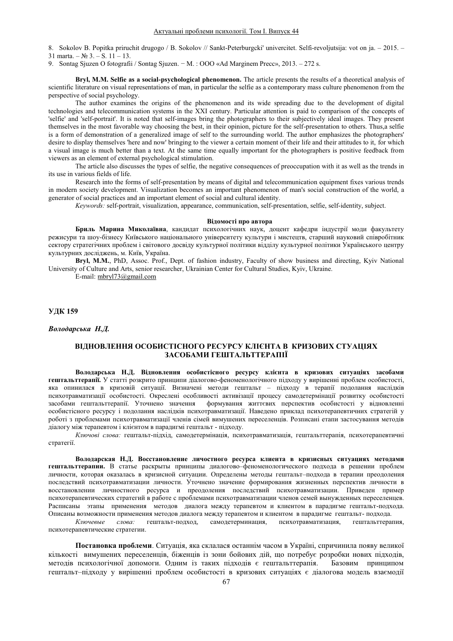8. Sokolov B. Popitka priruchit drugogo / B. Sokolov // Sankt-Peterburgcki' univercitet. Selfi-revoljutsija: vot on ja. - 2015. - $31 \text{ marta.} - \text{Ne } 3. - \text{S}$ .  $11 - 13.$ 

9. Sontag Sjuzen O fotografii / Sontag Sjuzen. – M. : OOO «Ad Marginem Precc»,  $2013. -272$  s.

**Bryl, M.M. Selfie as a social-psychological phenomenon.** The article presents the results of a theoretical analysis of scientific literature on visual representations of man, in particular the selfie as a contemporary mass culture phenomenon from the perspective of social psychology.

The author examines the origins of the phenomenon and its wide spreading due to the development of digital technologies and telecommunication systems in the XXI century. Particular attention is paid to comparison of the concepts of 'selfie' and 'self-portrait'. It is noted that self-images bring the photographers to their subjectively ideal images. They present themselves in the most favorable way choosing the best, in their opinion, picture for the self-presentation to others. Thus,a selfie is a form of demonstration of a generalized image of self to the surrounding world. The author emphasizes the photographers' desire to display themselves 'here and now' bringing to the viewer a certain moment of their life and their attitudes to it, for which a visual image is much better than a text. At the same time equally important for the photographers is positive feedback from viewers as an element of external psychological stimulation.

The article also discusses the types of selfie, the negative consequences of preoccupation with it as well as the trends in its use in various fields of life.

Research into the forms of self-presentation by means of digital and telecommunication equipment fixes various trends in modern society development. Visualization becomes an important phenomenon of man's social construction of the world, a generator of social practices and an important element of social and cultural identity.

*Keywords:* self-portrait, visualization, appearance, communication, self-presentation, selfie, self-identity, subject.

#### **Відомості про автора**

Бриль Марина Миколаївна, кандидат психологічних наук, доцент кафедри індустрії моди факультету режисури та шоу-бізнесу Київського національного університету культури і мистецтв, старший науковий співробітник сектору стратегічних проблем і світового досвіду культурної політики відділу культурної політики Українського центру культурних досліджень, м. Київ, Україна.

**Bryl, M.M.**, PhD, Assoc. Prof., Dept. of fashion industry, Faculty of show business and directing, Kyiv National University of Culture and Arts, senior researcher, Ukrainian Center for Cultural Studies, Kyiv, Ukraine.

E-mail: mbryl73@gmail.com

УДК 159

 $B$ олодарська *Н.Д.* 

# ВІДНОВЛЕННЯ ОСОБИСТІСНОГО РЕСУРСУ КЛІЄНТА В КРИЗОВИХ СТУАЦІЯХ ЗАСОБАМИ ГЕШТАЛЬТТЕРАПІЇ

Володарська Н.Д. Відновлення особистісного ресурсу клієнта в кризових ситуаціях засобами гештальттерапії. У статті розкрито принципи діалогово-феноменологічного підходу у вирішенні проблем особистості, яка опинилася в кризовій ситуації. Визначені методи гештальт - підходу в терапії подолання наслідків психотравматизації особистості. Окреслені особливості активізації процесу самодетермінації розвитку особистості<br>засобами гештальттерапії. Уточнено значення формування життєвих перспектив особистості у відновленні формування життєвих перспектив особистості у відновленні особистісного ресурсу і подолання наслідків психотравматизації. Наведено приклад психотерапевтичних стратегій у роботі з проблемами психотравматизації членів сімей вимушених переселенців. Розписані етапи застосування методів діалогу між терапевтом і клієнтом в парадигмі гештальт - підходу.

Ключові слова: гештальт-підхід, самодетермінація, психотравматизація, гештальттерапія, психотерапевтичні стратегії.

Володарская Н.Д. Восстановление личостного ресурса клиента в кризисных ситуациях методами гештальтгерапии. В статье раскрыты принципы диалогово-феноменологического подхода в решении проблем личности, которая оказалась в кризисной ситуации. Определены методы гештальт-подхода в терапии преодоления последствий психотравматизации личности. Уточнено значение формирования жизненных перспектив личности в восстановлении личностного ресурса и преодоления последствий психотравматизации. Приведен пример психотерапевтических стратегий в работе с проблемами психотравматизации членов семей вынужленных переселенцев. Расписаны этапы применения методов диалога между терапевтом и клиентом в парадигме гештальт-подхода. Описаны возможности применения методов диалога между терапевтом и клиентом в парадигме гештальт- подхода.<br>Ключевые слова: гештальт-подход, самодетерминация, психотравматизация, гештальттерапия,

психотравматизация, психотерапевтические стратегии.

Постановка проблеми. Ситуація, яка склалася останнім часом в Україні, спричинила появу великої кількості вимушених переселенців, біженців із зони бойових дій, що потребує розробки нових підходів, методів психологічної допомоги. Одним із таких підходів є гештальттерапія. Базовим принципом гештальт-пілхолу у вирішенні проблем особистості в кризових ситуаціях є ліалогова молель взаємолії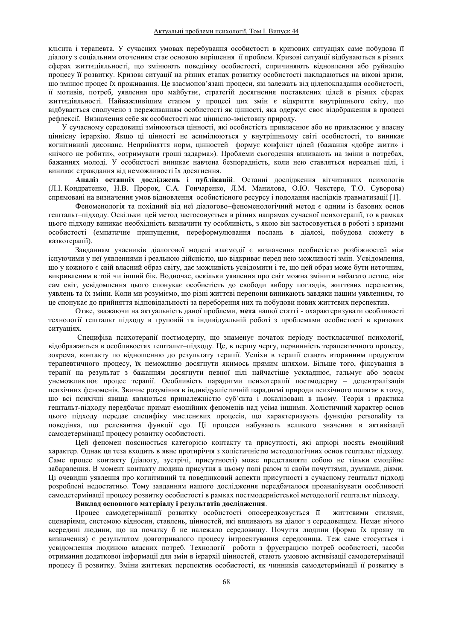клієнта і терапевта. У сучасних умовах перебування особистості в кризових ситуаціях саме побудова її діалогу з соціальним оточенням стає основою вирішення її проблем. Кризові ситуації відбуваються в різних сферах життєдіяльності, що змінюють поведінку особистості, спричиняють відновлення або руйнацію процесу її розвитку. Кризові ситуації на різних етапах розвитку особистості накладаються на вікові кризи, що змінює процес їх проживання. Це взаємопов'язані процеси, які залежать від цілепокладання особистості, її мотивів, потреб, уявлення про майбутнє, стратегій досягнення поставлених цілей в різних сферах життєдіяльності. Найважливішим етапом у процесі цих змін є відкриття внутрішнього світу, що відбувається сполучено з переживанням особистості як цінності, яка одержує своє відображення в процесі рефлексії. Визначення себе як особистості має ціннісно-змістовну природу.

У сучасному середовищі змінюються цінності, які особистість привласнює або не привласнює у власну ціннісну ієрархію. Якщо ці цінності не асимілюються у внутрішньому світі особистості, то виникає когнітивний дисонанс. Неприйняття норм, цінностей формує конфлікт цілей (бажання «добре жити» і «нічого не робити», «отримувати гроші задарма»). Проблеми сьогодення впливають на зміни в потребах, бажаннях молоді. У особистості виникає навчена безпорадність, коли нею ставляться нереальні цілі, і виникає страждання від неможливості їх досягнення.

Аналіз останніх досліджень і публікацій. Останні дослідження вітчизняних психологів (Л.І. Кондратенко, Н.В. Пророк, С.А. Гончаренко, Л.М. Манилова, О.Ю. Чекстере, Т.О. Суворова) спрямовані на визначення умов відновлення особистісного ресурсу і подолання наслідків травматизації [1].

Феноменологія та похідний від неї діалогово-феноменологічний метод є одним із базових основ гештальт-підходу. Оскільки цей метод застосовується в різних напрямах сучасної психотерапії, то в рамках цього підходу виникає необхідність визначити ту особливість, з якою він застосовується в роботі з кризами особистості (емпатичне припущення, переформулювання послань в діалозі, побудова сюжету в казкотерапії).

Завданням учасників діалогової моделі взаємодії є визначення особистістю розбіжностей між існуючими у неї уявленнями і реальною лійсністю, що вілкриває перел нею можливості змін. Усвіломлення, що у кожного є свій власний образ світу, дає можливість усвідомити і те, що цей образ може бути неточним, викривленим в той чи інший бік. Водночас, оскільки уявлення про світ можна змінити набагато легше, ніж сам світ, усвідомлення цього спонукає особистість до свободи вибору поглядів, життєвих перспектив, уявлень та їх зміни. Коли ми розуміємо, що різні життєві перепони виникають завдяки нашим уявленням, то це спонукає до прийняття відповідальності за переборення них та побудови нових життєвих перспектив.

Отже, зважаючи на актуальність даної проблеми, мета нашої статті - охарактеризувати особливості технології гештальт підходу в груповій та індивідуальній роботі з проблемами особистості в кризових ситуаціях.

Специфіка психотерапії постмодерну, що знаменує початок періоду посткласичної психології, відображається в особливостях гештальт-підходу. Це, в першу чергу, первинність терапевтичного процесу, зокрема, контакту по відношенню до результату терапії. Успіхи в терапії стають вторинним продуктом терапевтичного процесу, їх неможливо досягнути якимось прямим шляхом. Більше того, фіксування в терапії на результат з бажанням досягнути певної цілі найчастіше ускладнює, гальмує або зовсім унеможливлює процес терапії. Особливість парадигми психотерапії постмодерну - децентралізація психічних феноменів. Звичне розуміння в індивідуалістичній парадигмі природи психічного полягає в тому, що всі психічні явища являються приналежністю суб'єкта і локалізовані в ньому. Теорія і практика гештальт-підходу передбачає примат емоційних феноменів над усіма іншими. Холістичний характер основ цього підходу передає специфіку мисленєвих процесів, що характеризують функцію personality та поведінка, що релевантна функції едо. Ці процеси набувають великого значення в активізації самодетермінації процесу розвитку особистості.

Цей феномен пояснюється категорією контакту та присутності, які апріорі носять емоційний характер. Однак ця теза входить в явне протиріччя з холістичністю методологічних основ гештальт підходу. Саме процес контакту (діалогу, зустрічі, присутності) може представляти собою не тільки емоційне забарвлення. В момент контакту людина присутня в цьому полі разом зі своїм почуттями, думками, діями. Ці очевидні уявлення про когнітивний та поведінковий аспекти присутності в сучасному гештальт підході розроблені недостатньо. Тому завданням нашого дослідження передбачалося проаналізувати особливості самодетермінації процесу розвитку особистості в рамках постмодерністської методології гештальт підходу.

Виклад основного матеріалу і результатів дослідження.

Процес самодетермінації розвитку особистості опосередковується її життєвими стилями, спенаріями, системою вілносин, ставлень, пінностей, які впливають на ліалог з сереловищем. Немає нічого всередині людини, що на початку б не належало середовищу. Почуття людини (форма їх прояву та визначення) є результатом довготривалого процесу інтроектування середовища. Теж саме стосується і усвідомлення людиною власних потреб. Технології роботи з фрустрацією потреб особистості, засоби отримання додаткової інформації для змін в ієрархії цінностей, стають умовою активізації самодетермінації процесу її розвитку. Зміни життєвих перспектив особистості, як чинників самодетермінації її розвитку в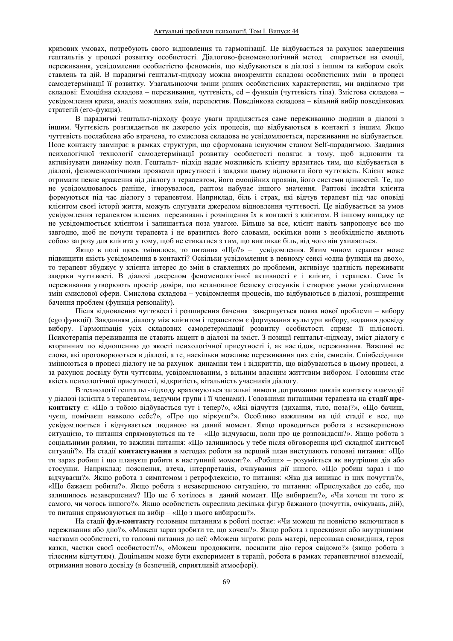кризових умовах, потребують свого відновлення та гармонізації. Це відбувається за рахунок завершення гештальтів у процесі розвитку особистості. Діалогово-феноменологічний метод спирається на емоції, переживання, усвідомлення особистістю феноменів, що відбуваються в діалозі з іншим та вибором своїх ставлень та дій. В парадигмі гештальт-підходу можна виокремити складові особистісних змін в процесі самодетермінації її розвитку. Узагальнюючи зміни різних особистісних характеристик, ми виділяємо три складові: Емоційна складова – переживання, чуттєвість, ed – функція (чуттєвість тіла). Змістова складова – усвідомлення кризи, аналіз можливих змін, перспектив. Поведінкова складова – вільний вибір поведінкових стратегій (его-фукція).

В парадигмі гештальт-підходу фокус уваги приділяється саме переживанню людини в діалозі з іншим. Чуттєвість розглядається як джерело усіх процесів, що відбуваються в контакті з іншим. Якщо чуттєвість послаблена або втрачена, то смислова складова не усвідомлюється, переживання не відбувається. Поле контакту завмирає в рамках структури, що сформована існуючим станом Self-парадигмою. Завдання психологічної технології самодетермінації розвитку особистості полягає в тому, щоб відновити та активізувати динаміку поля. Гештальт- підхід надає можливість клієнту вразитись тим, що відбувається в діалозі, феноменологічними проявами присутності і завдяки цьому відновити його чуттєвість. Клієнт може отримати певне враження від діалогу з терапевтом, його емоційних проявів, його системи цінностей. Те, що не усвідомлювалось раніше, ігнорувалося, раптом набуває іншого значення. Раптові інсайти клієнта формуються під час діалогу з терапевтом. Наприклад, біль і страх, які відчув терапевт під час оповіді клієнтом своєї історії життя, можуть слугувати джерелом відновлення чуттєвості. Це відбувається за умов усвідомлення терапевтом власних переживань і розміщення їх в контакті з клієнтом. В іншому випадку це не усвідомлюється клієнтом і залишається поза увагою. Більше за все, клієнт навіть запропонує все що завгодно, щоб не почути терапевта і не вразитись його словами, оскільки вони з необхідністю являють собою загрозу для клієнта у тому, щоб не стикатися з тим, що викликає біль, від чого він ухиляється.

Якщо в полі щось змінилося, то питання «Шо?» - усвідомлення. Яким чином терапевт може підвищити якість усвідомлення в контакті? Оскільки усвідомлення в певному сенсі «одна функція на двох», то терапевт збуджує у клієнта інтерес до змін в ставленнях до проблеми, активізує здатність переживати завдяки чуттєвості. В діалозі джерелом феноменологічної активності є і клієнт, і терапевт. Саме їх переживання утворюють простір довіри, що встановлює безпеку стосунків і створює умови усвідомлення змін смислової сфери. Смислова складова - усвідомлення процесів, що відбуваються в діалозі, розширення бачення проблем (функція personality).

Після відновлення чуттєвості і розширення бачення завершується поява нової проблеми - вибору (едо функції). Завданням діалогу між клієнтом і терапевтом є формування культури вибору, надання досвіду вибору. Гармонізація усіх складових самодетермінації розвитку особистості сприяє її цілісності. Психотерапія переживання не ставить акцент в діалозі на зміст. З позиції гештальт-підходу, зміст діалогу є вторинним по відношенню до якості психологічної присутності і, як наслідок, переживання. Важливі не слова, які проговорюються в діалозі, а те, наскільки можливе переживання цих слів, смислів. Співбесідники змінюються в процесі діалогу не за рахунок динаміки тем і відкриттів, що відбуваються в цьому процесі, а за рахунок досвіду бути чуттєвим, усвідомлюваним, з вільним власним життєвим вибором. Головним стає якість психологічної присутності, відкритість, вітальність учасників діалогу.

В технології гештальт-підходу враховуються загальні вимоги дотримання циклів контакту взаємодії у діалозі (клієнта з терапевтом, ведучим групи і її членами). Головними питаннями терапевта на стадії преконтакту є: «Що з тобою відбувається тут і тепер?», «Які відчуття (дихання, тіло, поза)?», «Що бачиш, чуєш, помічаєш навколо себе?», «Про що міркуєш?». Особливо важливим на цій стадії є все, що үсвідомлюється і відчувається людиною на даний момент. Якщо проводиться робота з незавершеною ситуацією, то питання спрямовуються на те – «Що відчуваєш, коли про це розповідаєш?». Якщо робота з соціальними ролями, то важливі питання: «Що залишилось у тебе після обговорення цієї складної життєвої ситуації?». На стадії контактування в методах роботи на перший план виступають головні питання: «Що ти зараз робиш і що плануєш робити в наступний момент?». «Робиш» - розуміється як внутрішня дія або стосунки. Наприклад: пояснення, втеча, інтерпретація, очікування дії іншого. «Що робиш зараз і що відчуваєш?». Якщо робота з симптомом і ретрофлексією, то питання: «Яка дія виникає із цих почуттів?», «Що бажаєш робити?». Якщо робота з незавершеною ситуацією, то питання: «Прислухайся до себе, що залишилось незавершеним? Що ще б хотілось в даний момент. Що вибираєш?», «Чи хочеш ти того ж самого, чи чогось іншого?». Якщо особистість окреслила декілька фігур бажаного (почуттів, очікувань, дій), то питання спрямовуються на вибір - «Що з цього вибираєш?».

На сталії **фул-контакту** головним питанням в роботі постає: «Чи можеш ти повністю включитися в переживання або дію?», «Можеш зараз зробити те, що хочеш?». Якщо робота з проекціями або внутрішніми частками особистості, то головні питання до неї: «Можеш зіграти: роль матері, персонажа сновидіння, героя казки, частки своєї особистості?», «Можеш продовжити, посилити дію героя свідомо?» (якщо робота з тілесним відчуттям). Доцільним може бути експеримент в терапії, робота в рамках терапевтичної взаємодії, отримання нового досвіду (в безпечній, сприятливій атмосфері).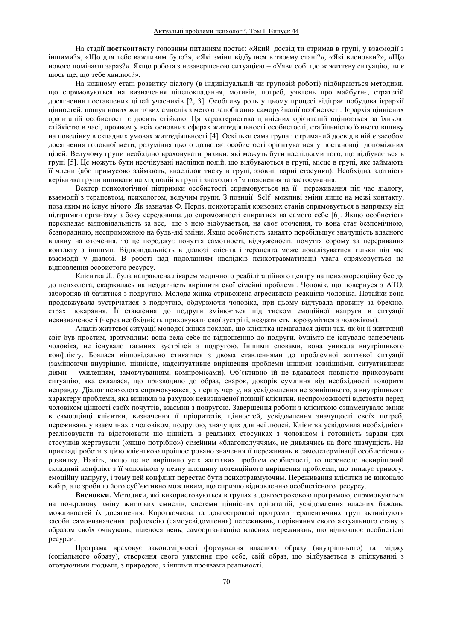На стадії **постконтакту** головним питанням постає: «Який досвід ти отримав в групі, у взаємодії з іншими?», «Що для тебе важливим було?», «Які зміни відбулися в твоєму стані?», «Які висновки?», «Що нового помічаєш зараз?». Якщо робота з незавершеною ситуацією - «Уяви собі цю ж життєву ситуацію, чи є щось ще, що тебе хвилює?».

На кожному етапі розвитку діалогу (в індивідуальній чи груповій роботі) підбираються методики, що спрямовуються на визначення цілепокладання, мотивів, потреб, уявлень про майбутнє, стратегій досягнення поставлених цілей учасників [2, 3]. Особливу роль у цьому процесі відіграє побудова ієрархії цінностей, пошук нових життєвих смислів з метою запобігання саморуйнації особистості. Ієрархія ціннісних орієнтацій особистості є досить стійкою. Ця характеристика ціннісних орієнтацій оцінюється за їхньою стійкістю в часі, проявом у всіх основних сферах життєдіяльності особистості, стабільністю їхнього впливу на поведінку в складних умовах життєдіяльності [4]. Оскільки сама група і отриманий досвід в ній є засобом досягнення головної мети, розуміння цього дозволяє особистості орієнтуватися у постановці допоміжних цілей. Ведучому групи необхідно враховувати ризики, які можуть бути наслідками того, що відбувається в групі [5]. Це можуть бути неочікувані наслідки подій, що відбуваються в групі, місце в групі, яке займають її члени (або примусово займають, внаслідок тиску в групі, ззовні, парні стосунки). Необхідна здатність керівника групи впливати на хід подій в групі і знаходити їм пояснення та застосування.

Вектор психологічної підтримки особистості спрямовується на її переживання під час діалогу, взаємодії з терапевтом, психологом, ведучим групи. З позиції Self можливі зміни лише на межі контакту, поза яким не існує нічого. Як зазначав Ф. Перлз, психотерапія кризових станів спрямовується в напрямку від підтримки організму з боку середовища до спроможності спиратися на самого себе [6]. Якщо особистість перекладає відповідальність за все, що з нею відбувається, на своє оточення, то вона стає безпомічною, безпорадною, неспроможною на будь-які зміни. Якщо особистість занадто перебільшує значущість власного впливу на оточення, то це породжує почуття самотності, відчуженості, почуття сорому за переривання контакту з іншими. Відповідальність в діалозі клієнта і терапевта може локалізуватися тільки під час взаємодії у діалозі. В роботі над подоланням наслідків психотравматизації увага спрямовується на відновлення особистого ресурсу.

Клієнтка Л., була направлена лікарем медичного реабілітаційного центру на психокорекційну бесіду до психолога, скаржилась на нездатність вирішити свої сімейні проблеми. Чоловік, що повернуся з АТО, забороняв їй бачитися з подругою. Молода жінка стривожена агресивною реакцією чоловіка. Потайки вона продовжувала зустрічатися з подругою, обдурюючи чоловіка, при цьому відчувала провину за брехню, страх покарання. Її ставлення до подруги змінюється під тиском емоційної напруги в ситуації невизначеності (через необхідність приховувати свої зустрічі, нездатність порозумітися з чоловіком).

Аналіз життєвої ситуації молодої жінки показав, що клієнтка намагалася діяти так, як би її життєвий світ був простим, зрозумілим: вона вела себе по відношенню до подруги, буцімто не існувало заперечень чоловіка, не існувало таємних зустрічей з подругою. Іншими словами, вона уникала внутрішнього конфлікту. Боялася відповідально стикатися з двома ставленнями до проблемної життєвої ситуації (замінюючи внутрішнє, ціннісне, надситуативне вирішення проблеми іншими зовнішніми, ситуативними діями - ухиленням, замовчуванням, компромісами). Об'єктивно їй не вдавалося повністю приховувати ситуацію, яка склалася, що призводило до образ, сварок, докорів сумління від необхідності говорити неправду. Діалог психолога спрямовувався, у першу чергу, на усвідомлення не зовнішнього, а внутрішнього характеру проблеми, яка виникла за рахунок невизначеної позиції клієнтки, неспроможності відстояти перед чоловіком цінності своїх почуттів, взаємин з подругою. Завершення роботи з клієнткою ознаменувало зміни в самооцінці клієнтки, визначення її пріоритетів, цінностей, усвідомлення значущості своїх потреб, переживань у взаєминах з чоловіком, подругою, значущих для неї людей. Клієнтка усвідомила необхідність реалізовувати та відстоювати цю цінність в реальних стосунках з чоловіком і готовність заради цих стосунків жертвувати («якщо потрібно») сімейним «благополуччям», не дивлячись на його значущість. На прикладі роботи з цією клієнткою проілюстровано значення її переживань в самодетермінації особистісного розвитку. Навіть, якщо це не вирішило усіх життєвих проблем особистості, то перенесло невирішений складний конфлікт з її чоловіком у певну площину потенційного вирішення проблеми, що знижує тривогу, емоційну напругу, і тому цей конфлікт перестає бути психотравмуючим. Переживання клієнтки не виконало вибір, але зробило його суб'єктивно можливим, що сприяло відновленню особистісного ресурсу.

Висновки. Методики, які використовуються в групах з довгостроковою програмою, спрямовуються на по-крокову зміну життєвих смислів, системи ціннісних орієнтацій, усвідомлення власних бажань, можливостей їх досягнення. Короткочасна та довгострокові програми терапевтичних груп активізують засоби самовизначення: рефлексію (самоусвіломлення) переживань, порівняння свого актуального стану з образом своїх очікувань, ціледосягнень, самоорганізацію власних переживань, що відновлює особистісні necvncи.

Програма враховує закономірності формування власного образу (внутрішнього) та іміджу (соціального образу), створення свого уявлення про себе, свій образ, що відбувається в спілкуванні з оточуючими людьми, з природою, з іншими проявами реальності.